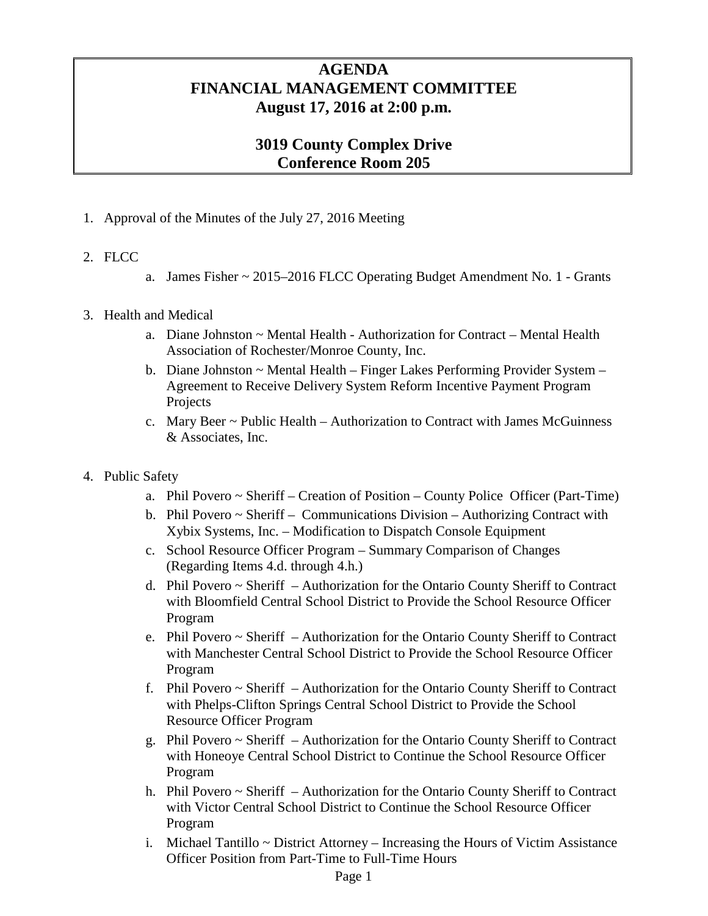## **AGENDA FINANCIAL MANAGEMENT COMMITTEE August 17, 2016 at 2:00 p.m.**

## **3019 County Complex Drive Conference Room 205**

- 1. Approval of the Minutes of the July 27, 2016 Meeting
- 2. FLCC
- a. James Fisher ~ 2015–2016 FLCC Operating Budget Amendment No. 1 Grants
- 3. Health and Medical
	- a. Diane Johnston ~ Mental Health Authorization for Contract Mental Health Association of Rochester/Monroe County, Inc.
	- b. Diane Johnston ~ Mental Health Finger Lakes Performing Provider System Agreement to Receive Delivery System Reform Incentive Payment Program Projects
	- c. Mary Beer ~ Public Health Authorization to Contract with James McGuinness & Associates, Inc.
- 4. Public Safety
	- a. Phil Povero ~ Sheriff Creation of Position County Police Officer (Part-Time)
	- b. Phil Povero ~ Sheriff Communications Division Authorizing Contract with Xybix Systems, Inc. – Modification to Dispatch Console Equipment
	- c. School Resource Officer Program Summary Comparison of Changes (Regarding Items 4.d. through 4.h.)
	- d. Phil Povero ~ Sheriff Authorization for the Ontario County Sheriff to Contract with Bloomfield Central School District to Provide the School Resource Officer Program
	- e. Phil Povero ~ Sheriff Authorization for the Ontario County Sheriff to Contract with Manchester Central School District to Provide the School Resource Officer Program
	- f. Phil Povero ~ Sheriff Authorization for the Ontario County Sheriff to Contract with Phelps-Clifton Springs Central School District to Provide the School Resource Officer Program
	- g. Phil Povero ~ Sheriff Authorization for the Ontario County Sheriff to Contract with Honeoye Central School District to Continue the School Resource Officer Program
	- h. Phil Povero ~ Sheriff Authorization for the Ontario County Sheriff to Contract with Victor Central School District to Continue the School Resource Officer Program
	- i. Michael Tantillo  $\sim$  District Attorney Increasing the Hours of Victim Assistance Officer Position from Part-Time to Full-Time Hours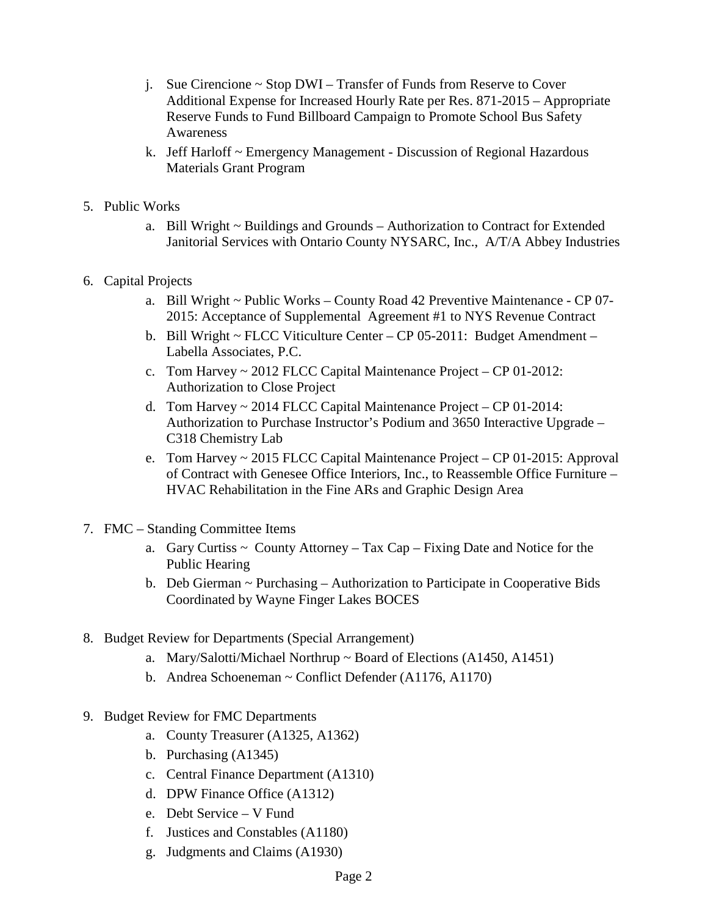- j. Sue Cirencione ~ Stop DWI Transfer of Funds from Reserve to Cover Additional Expense for Increased Hourly Rate per Res. 871-2015 – Appropriate Reserve Funds to Fund Billboard Campaign to Promote School Bus Safety Awareness
- k. Jeff Harloff ~ Emergency Management Discussion of Regional Hazardous Materials Grant Program
- 5. Public Works
	- a. Bill Wright ~ Buildings and Grounds Authorization to Contract for Extended Janitorial Services with Ontario County NYSARC, Inc., A/T/A Abbey Industries
- 6. Capital Projects
	- a. Bill Wright ~ Public Works County Road 42 Preventive Maintenance CP 07- 2015: Acceptance of Supplemental Agreement #1 to NYS Revenue Contract
	- b. Bill Wright ~ FLCC Viticulture Center CP 05-2011: Budget Amendment Labella Associates, P.C.
	- c. Tom Harvey ~ 2012 FLCC Capital Maintenance Project CP 01-2012: Authorization to Close Project
	- d. Tom Harvey ~ 2014 FLCC Capital Maintenance Project CP 01-2014: Authorization to Purchase Instructor's Podium and 3650 Interactive Upgrade – C318 Chemistry Lab
	- e. Tom Harvey ~ 2015 FLCC Capital Maintenance Project CP 01-2015: Approval of Contract with Genesee Office Interiors, Inc., to Reassemble Office Furniture – HVAC Rehabilitation in the Fine ARs and Graphic Design Area
- 7. FMC Standing Committee Items
	- a. Gary Curtiss  $\sim$  County Attorney Tax Cap Fixing Date and Notice for the Public Hearing
	- b. Deb Gierman ~ Purchasing Authorization to Participate in Cooperative Bids Coordinated by Wayne Finger Lakes BOCES
- 8. Budget Review for Departments (Special Arrangement)
	- a. Mary/Salotti/Michael Northrup  $\sim$  Board of Elections (A1450, A1451)
	- b. Andrea Schoeneman ~ Conflict Defender (A1176, A1170)
- 9. Budget Review for FMC Departments
	- a. County Treasurer (A1325, A1362)
	- b. Purchasing (A1345)
	- c. Central Finance Department (A1310)
	- d. DPW Finance Office (A1312)
	- e. Debt Service V Fund
	- f. Justices and Constables (A1180)
	- g. Judgments and Claims (A1930)